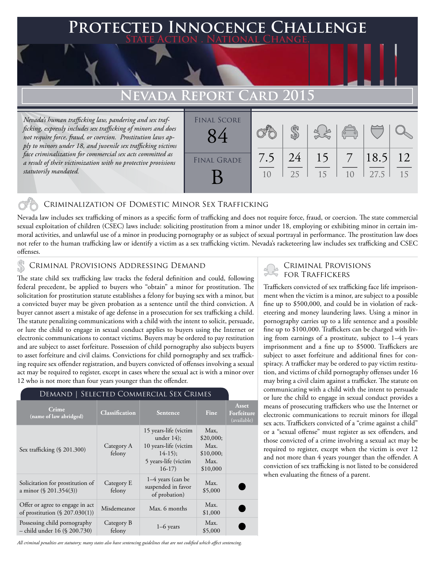### **PTED INNOCENCE CHALLENGE State Action . National Change.**

# **Nevada Report Card 2015**

*Nevada's human trafficking law, pandering and sex trafficking, expressly includes sex trafficking of minors and does not require force, fraud, or coercion. Prostitution laws apply to minors under 18, and juvenile sex trafficking victims face criminalization for commercial sex acts committed as a result of their victimization with no protective provisions statutorily mandated.*

| <b>FINAL SCORE</b> |           |          |          | $\sqrt{\frac{1}{10}}$ |              |          |
|--------------------|-----------|----------|----------|-----------------------|--------------|----------|
| <b>FINAL GRADE</b> | 7.5<br>10 | 24<br>25 | 15<br>15 | 10                    | 18.5<br>27.5 | 12<br>15 |

#### Criminalization of Domestic Minor Sex Trafficking

Nevada law includes sex trafficking of minors as a specific form of trafficking and does not require force, fraud, or coercion. The state commercial sexual exploitation of children (CSEC) laws include: soliciting prostitution from a minor under 18, employing or exhibiting minor in certain immoral activities, and unlawful use of a minor in producing pornography or as subject of sexual portrayal in performance. The prostitution law does not refer to the human trafficking law or identify a victim as a sex trafficking victim. Nevada's racketeering law includes sex trafficking and CSEC offenses.

## CRIMINAL PROVISIONS ADDRESSING DEMAND<br>FOR TRAFFICKERS **FOR TRAFFICKERS**

The state child sex trafficking law tracks the federal definition and could, following federal precedent, be applied to buyers who "obtain" a minor for prostitution. The solicitation for prostitution statute establishes a felony for buying sex with a minor, but a convicted buyer may be given probation as a sentence until the third conviction. A buyer cannot assert a mistake of age defense in a prosecution for sex trafficking a child. The statute penalizing communications with a child with the intent to solicit, persuade, or lure the child to engage in sexual conduct applies to buyers using the Internet or electronic communications to contact victims. Buyers may be ordered to pay restitution and are subject to asset forfeiture. Possession of child pornography also subjects buyers to asset forfeiture and civil claims. Convictions for child pornography and sex trafficking require sex offender registration, and buyers convicted of offenses involving a sexual act may be required to register, except in cases where the sexual act is with a minor over 12 who is not more than four years younger than the offender.

#### Demand | Selected Commercial Sex Crimes

| Crime<br>(name of law abridged)                                      | <b>Classification</b> | <b>Sentence</b>                                                                                                | Fine                                                       | Asset<br>Forfeiture<br>(available) |
|----------------------------------------------------------------------|-----------------------|----------------------------------------------------------------------------------------------------------------|------------------------------------------------------------|------------------------------------|
| Sex trafficking $(\S 201.300)$                                       | Category A<br>felony  | 15 years-life (victim<br>under $14$ ;<br>10 years-life (victim<br>$14-15$ ;<br>5 years-life (victim<br>$16-17$ | Max,<br>\$20,000;<br>Max.<br>\$10,000;<br>Max.<br>\$10,000 |                                    |
| Solicitation for prostitution of<br>a minor $(\S$ 201.354(3))        | Category E<br>felony  | 1–4 years (can be<br>suspended in favor<br>of probation)                                                       | Max.<br>\$5,000                                            |                                    |
| Offer or agree to engage in act<br>of prostitution $(\S 207.030(1))$ | Misdemeanor           | Max. 6 months                                                                                                  | Max.<br>\$1,000                                            |                                    |
| Possessing child pornography<br>- child under 16 (§ 200.730)         | Category B<br>felony  | $1-6$ years                                                                                                    | Max.<br>\$5,000                                            |                                    |

# Criminal Provisions

Traffickers convicted of sex trafficking face life imprisonment when the victim is a minor, are subject to a possible fine up to \$500,000, and could be in violation of racketeering and money laundering laws. Using a minor in pornography carries up to a life sentence and a possible fine up to \$100,000. Traffickers can be charged with living from earnings of a prostitute, subject to 1–4 years imprisonment and a fine up to \$5000. Traffickers are subject to asset forfeiture and additional fines for conspiracy. A trafficker may be ordered to pay victim restitution, and victims of child pornography offenses under 16 may bring a civil claim against a trafficker. The statute on communicating with a child with the intent to persuade or lure the child to engage in sexual conduct provides a means of prosecuting traffickers who use the Internet or electronic communications to recruit minors for illegal sex acts. Traffickers convicted of a "crime against a child" or a "sexual offense" must register as sex offenders, and those convicted of a crime involving a sexual act may be required to register, except when the victim is over 12 and not more than 4 years younger than the offender. A conviction of sex trafficking is not listed to be considered when evaluating the fitness of a parent.

*All criminal penalties are statutory; many states also have sentencing guidelines that are not codified which affect sentencing.*